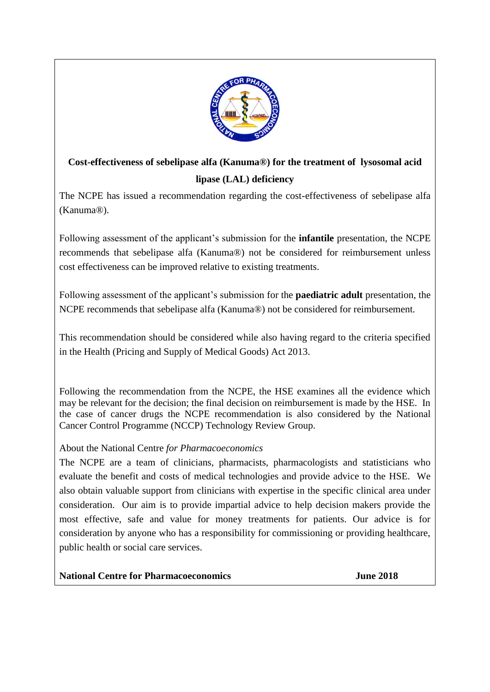

# **Cost-effectiveness of sebelipase alfa (Kanuma®) for the treatment of lysosomal acid lipase (LAL) deficiency**

The NCPE has issued a recommendation regarding the cost-effectiveness of sebelipase alfa (Kanuma®).

Following assessment of the applicant's submission for the **infantile** presentation, the NCPE recommends that sebelipase alfa (Kanuma®) not be considered for reimbursement unless cost effectiveness can be improved relative to existing treatments.

Following assessment of the applicant's submission for the **paediatric adult** presentation, the NCPE recommends that sebelipase alfa (Kanuma®) not be considered for reimbursement.

This recommendation should be considered while also having regard to the criteria specified in the Health (Pricing and Supply of Medical Goods) Act 2013.

Following the recommendation from the NCPE, the HSE examines all the evidence which may be relevant for the decision; the final decision on reimbursement is made by the HSE. In the case of cancer drugs the NCPE recommendation is also considered by the National Cancer Control Programme (NCCP) Technology Review Group.

# About the National Centre *for Pharmacoeconomics*

The NCPE are a team of clinicians, pharmacists, pharmacologists and statisticians who evaluate the benefit and costs of medical technologies and provide advice to the HSE. We also obtain valuable support from clinicians with expertise in the specific clinical area under consideration. Our aim is to provide impartial advice to help decision makers provide the most effective, safe and value for money treatments for patients. Our advice is for consideration by anyone who has a responsibility for commissioning or providing healthcare, public health or social care services.

**National Centre for Pharmacoeconomics June 2018**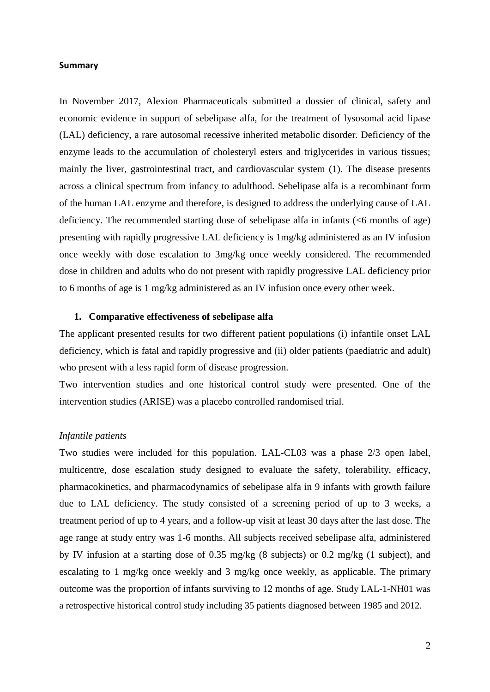#### **Summary**

In November 2017, Alexion Pharmaceuticals submitted a dossier of clinical, safety and economic evidence in support of sebelipase alfa, for the treatment of lysosomal acid lipase (LAL) deficiency, a rare autosomal recessive inherited metabolic disorder. Deficiency of the enzyme leads to the accumulation of cholesteryl esters and triglycerides in various tissues; mainly the liver, gastrointestinal tract, and cardiovascular system (1). The disease presents across a clinical spectrum from infancy to adulthood. Sebelipase alfa is a recombinant form of the human LAL enzyme and therefore, is designed to address the underlying cause of LAL deficiency. The recommended starting dose of sebelipase alfa in infants (<6 months of age) presenting with rapidly progressive LAL deficiency is 1mg/kg administered as an IV infusion once weekly with dose escalation to 3mg/kg once weekly considered. The recommended dose in children and adults who do not present with rapidly progressive LAL deficiency prior to 6 months of age is 1 mg/kg administered as an IV infusion once every other week.

#### **1. Comparative effectiveness of sebelipase alfa**

The applicant presented results for two different patient populations (i) infantile onset LAL deficiency, which is fatal and rapidly progressive and (ii) older patients (paediatric and adult) who present with a less rapid form of disease progression.

Two intervention studies and one historical control study were presented. One of the intervention studies (ARISE) was a placebo controlled randomised trial.

## *Infantile patients*

Two studies were included for this population. LAL-CL03 was a phase 2/3 open label, multicentre, dose escalation study designed to evaluate the safety, tolerability, efficacy, pharmacokinetics, and pharmacodynamics of sebelipase alfa in 9 infants with growth failure due to LAL deficiency. The study consisted of a screening period of up to 3 weeks, a treatment period of up to 4 years, and a follow-up visit at least 30 days after the last dose. The age range at study entry was 1-6 months. All subjects received sebelipase alfa, administered by IV infusion at a starting dose of 0.35 mg/kg (8 subjects) or 0.2 mg/kg (1 subject), and escalating to 1 mg/kg once weekly and 3 mg/kg once weekly, as applicable. The primary outcome was the proportion of infants surviving to 12 months of age. Study LAL-1-NH01 was a retrospective historical control study including 35 patients diagnosed between 1985 and 2012.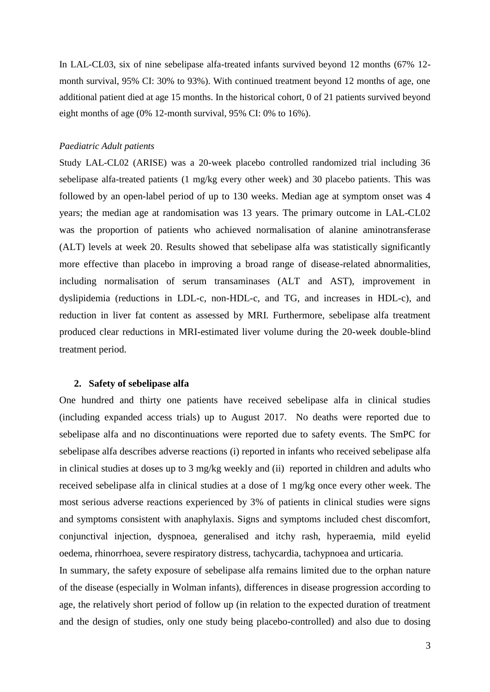In LAL-CL03, six of nine sebelipase alfa-treated infants survived beyond 12 months (67% 12 month survival, 95% CI: 30% to 93%). With continued treatment beyond 12 months of age, one additional patient died at age 15 months. In the historical cohort, 0 of 21 patients survived beyond eight months of age (0% 12-month survival, 95% CI: 0% to 16%).

#### *Paediatric Adult patients*

Study LAL-CL02 (ARISE) was a 20-week placebo controlled randomized trial including 36 sebelipase alfa-treated patients (1 mg/kg every other week) and 30 placebo patients. This was followed by an open-label period of up to 130 weeks. Median age at symptom onset was 4 years; the median age at randomisation was 13 years. The primary outcome in LAL-CL02 was the proportion of patients who achieved normalisation of alanine aminotransferase (ALT) levels at week 20. Results showed that sebelipase alfa was statistically significantly more effective than placebo in improving a broad range of disease-related abnormalities, including normalisation of serum transaminases (ALT and AST), improvement in dyslipidemia (reductions in LDL-c, non-HDL-c, and TG, and increases in HDL-c), and reduction in liver fat content as assessed by MRI. Furthermore, sebelipase alfa treatment produced clear reductions in MRI-estimated liver volume during the 20-week double-blind treatment period.

#### **2. Safety of sebelipase alfa**

One hundred and thirty one patients have received sebelipase alfa in clinical studies (including expanded access trials) up to August 2017. No deaths were reported due to sebelipase alfa and no discontinuations were reported due to safety events. The SmPC for sebelipase alfa describes adverse reactions (i) reported in infants who received sebelipase alfa in clinical studies at doses up to 3 mg/kg weekly and (ii) reported in children and adults who received sebelipase alfa in clinical studies at a dose of 1 mg/kg once every other week. The most serious adverse reactions experienced by 3% of patients in clinical studies were signs and symptoms consistent with anaphylaxis. Signs and symptoms included chest discomfort, conjunctival injection, dyspnoea, generalised and itchy rash, hyperaemia, mild eyelid oedema, rhinorrhoea, severe respiratory distress, tachycardia, tachypnoea and urticaria.

In summary, the safety exposure of sebelipase alfa remains limited due to the orphan nature of the disease (especially in Wolman infants), differences in disease progression according to age, the relatively short period of follow up (in relation to the expected duration of treatment and the design of studies, only one study being placebo-controlled) and also due to dosing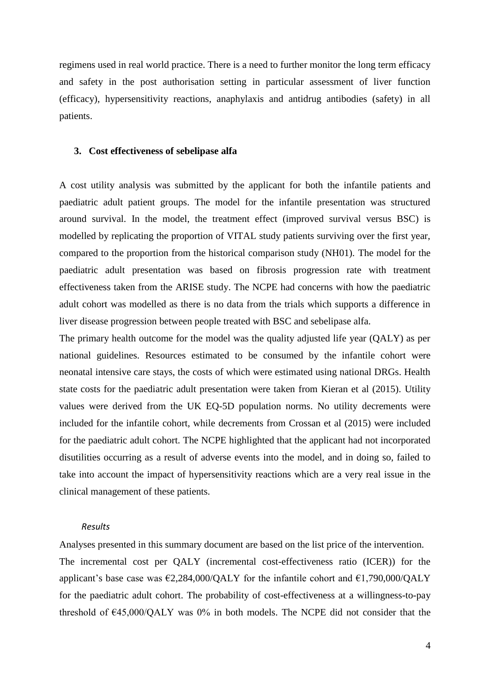regimens used in real world practice. There is a need to further monitor the long term efficacy and safety in the post authorisation setting in particular assessment of liver function (efficacy), hypersensitivity reactions, anaphylaxis and antidrug antibodies (safety) in all patients.

#### **3. Cost effectiveness of sebelipase alfa**

A cost utility analysis was submitted by the applicant for both the infantile patients and paediatric adult patient groups. The model for the infantile presentation was structured around survival. In the model, the treatment effect (improved survival versus BSC) is modelled by replicating the proportion of VITAL study patients surviving over the first year, compared to the proportion from the historical comparison study (NH01). The model for the paediatric adult presentation was based on fibrosis progression rate with treatment effectiveness taken from the ARISE study. The NCPE had concerns with how the paediatric adult cohort was modelled as there is no data from the trials which supports a difference in liver disease progression between people treated with BSC and sebelipase alfa.

The primary health outcome for the model was the quality adjusted life year (QALY) as per national guidelines. Resources estimated to be consumed by the infantile cohort were neonatal intensive care stays, the costs of which were estimated using national DRGs. Health state costs for the paediatric adult presentation were taken from Kieran et al (2015). Utility values were derived from the UK EQ-5D population norms. No utility decrements were included for the infantile cohort, while decrements from Crossan et al (2015) were included for the paediatric adult cohort. The NCPE highlighted that the applicant had not incorporated disutilities occurring as a result of adverse events into the model, and in doing so, failed to take into account the impact of hypersensitivity reactions which are a very real issue in the clinical management of these patients.

#### *Results*

Analyses presented in this summary document are based on the list price of the intervention. The incremental cost per QALY (incremental cost-effectiveness ratio (ICER)) for the applicant's base case was  $\epsilon$ 2,284,000/QALY for the infantile cohort and  $\epsilon$ 1,790,000/QALY for the paediatric adult cohort. The probability of cost-effectiveness at a willingness-to-pay threshold of  $E45,000/QALY$  was 0% in both models. The NCPE did not consider that the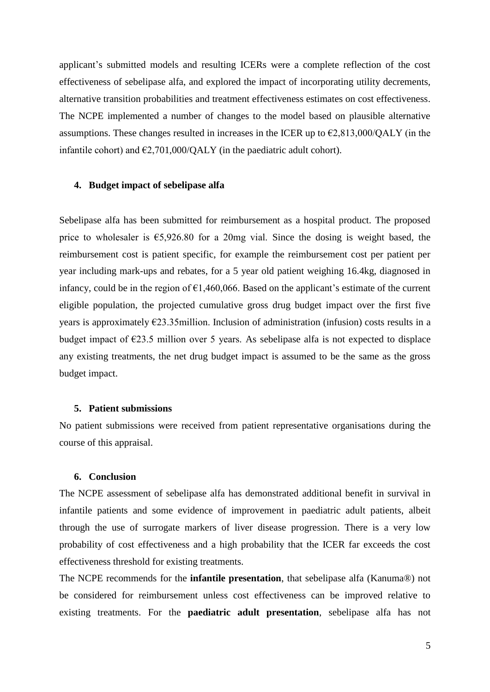applicant's submitted models and resulting ICERs were a complete reflection of the cost effectiveness of sebelipase alfa, and explored the impact of incorporating utility decrements, alternative transition probabilities and treatment effectiveness estimates on cost effectiveness. The NCPE implemented a number of changes to the model based on plausible alternative assumptions. These changes resulted in increases in the ICER up to  $\epsilon$ 2,813,000/QALY (in the infantile cohort) and  $\epsilon$ 2,701,000/QALY (in the paediatric adult cohort).

## **4. Budget impact of sebelipase alfa**

Sebelipase alfa has been submitted for reimbursement as a hospital product. The proposed price to wholesaler is  $65,926.80$  for a 20mg vial. Since the dosing is weight based, the reimbursement cost is patient specific, for example the reimbursement cost per patient per year including mark-ups and rebates, for a 5 year old patient weighing 16.4kg, diagnosed in infancy, could be in the region of  $\epsilon$ 1,460,066. Based on the applicant's estimate of the current eligible population, the projected cumulative gross drug budget impact over the first five years is approximately  $E$ 23.35million. Inclusion of administration (infusion) costs results in a budget impact of  $\epsilon$ 23.5 million over 5 years. As sebelipase alfa is not expected to displace any existing treatments, the net drug budget impact is assumed to be the same as the gross budget impact.

#### **5. Patient submissions**

No patient submissions were received from patient representative organisations during the course of this appraisal.

#### **6. Conclusion**

The NCPE assessment of sebelipase alfa has demonstrated additional benefit in survival in infantile patients and some evidence of improvement in paediatric adult patients, albeit through the use of surrogate markers of liver disease progression. There is a very low probability of cost effectiveness and a high probability that the ICER far exceeds the cost effectiveness threshold for existing treatments.

The NCPE recommends for the **infantile presentation**, that sebelipase alfa (Kanuma®) not be considered for reimbursement unless cost effectiveness can be improved relative to existing treatments. For the **paediatric adult presentation**, sebelipase alfa has not